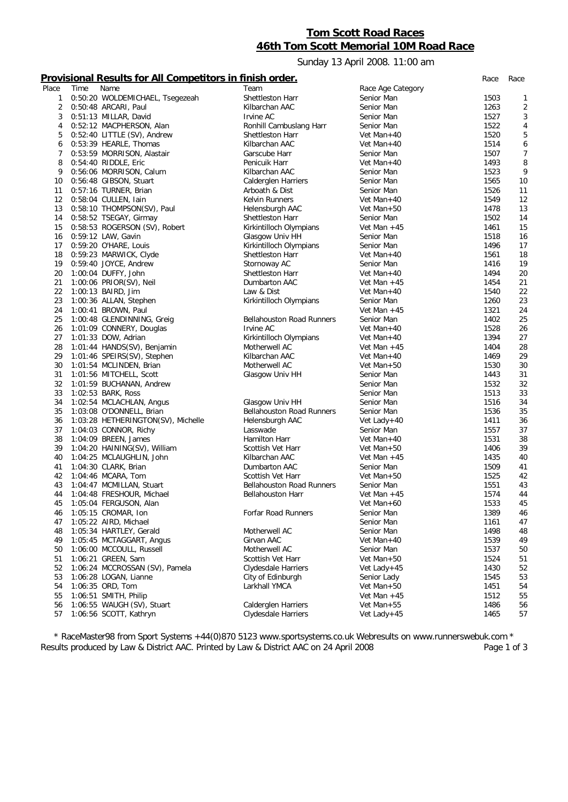# **Tom Scott Road Races 46th Tom Scott Memorial 10M Road Race**

Sunday 13 April 2008. 11:00 am

## **Provisional Results for All Competitors in finish order.** *Race Race*

| Place | Time | Name                               | Team                             | Race Age Category |              |                |
|-------|------|------------------------------------|----------------------------------|-------------------|--------------|----------------|
| 1     |      | 0:50:20 WOLDEMICHAEL, Tsegezeah    | Shettleston Harr                 | Senior Man        | 1503         | 1              |
| 2     |      | 0:50:48 ARCARI, Paul               | Kilbarchan AAC                   | Senior Man        | 1263         | $\overline{2}$ |
| 3     |      | 0:51:13 MILLAR, David              | Irvine AC                        | Senior Man        | 1527         | 3              |
| 4     |      | 0:52:12 MACPHERSON, Alan           | Ronhill Cambuslang Harr          | Senior Man        | 1522         | $\overline{4}$ |
| 5     |      | 0:52:40 LITTLE (SV), Andrew        | Shettleston Harr                 | Vet Man+40        | 1520         | 5              |
| 6     |      | 0:53:39 HEARLE, Thomas             | Kilbarchan AAC                   | Vet Man+40        | 1514         | 6              |
| 7     |      | 0:53:59 MORRISON, Alastair         | Garscube Harr                    | Senior Man        | 1507         | $\overline{7}$ |
| 8     |      | 0:54:40 RIDDLE, Eric               | Penicuik Harr                    | Vet Man+40        | 1493         | 8              |
| 9     |      | 0:56:06 MORRISON, Calum            | Kilbarchan AAC                   | Senior Man        | 1523         | 9              |
| 10    |      | 0:56:48 GIBSON, Stuart             | Calderglen Harriers              | Senior Man        | 1565         | 10             |
| 11    |      | 0:57:16 TURNER, Brian              | Arboath & Dist                   | Senior Man        | 1526         | 11             |
| 12    |      | 0:58:04 CULLEN, Iain               | Kelvin Runners                   | Vet Man+40        | 1549         | 12             |
|       |      | 0:58:10 THOMPSON(SV), Paul         |                                  |                   |              |                |
| 13    |      |                                    | Helensburgh AAC                  | Vet Man+50        | 1478         | 13             |
| 14    |      | 0:58:52 TSEGAY, Girmay             | Shettleston Harr                 | Senior Man        | 1502         | 14             |
| 15    |      | 0:58:53 ROGERSON (SV), Robert      | Kirkintilloch Olympians          | Vet Man $+45$     | 1461         | 15             |
| 16    |      | 0:59:12 LAW, Gavin                 | Glasgow Univ HH                  | Senior Man        | 1518         | 16             |
| 17    |      | 0:59:20 O'HARE, Louis              | Kirkintilloch Olympians          | Senior Man        | 1496         | 17             |
| 18    |      | 0:59:23 MARWICK, Clyde             | Shettleston Harr                 | Vet Man+40        | 1561         | 18             |
| 19    |      | 0:59:40 JOYCE, Andrew              | Stornoway AC                     | Senior Man        | 1416         | 19             |
| 20    |      | 1:00:04 DUFFY, John                | Shettleston Harr                 | Vet Man+40        | 1494         | 20             |
| 21    |      | 1:00:06 PRIOR(SV), Neil            | Dumbarton AAC                    | Vet Man $+45$     | 1454         | 21             |
| 22    |      | 1:00:13 BAIRD, Jim                 | Law & Dist                       | Vet Man+40        | 1540         | 22             |
| 23    |      | 1:00:36 ALLAN, Stephen             | Kirkintilloch Olympians          | Senior Man        | 1260         | 23             |
| 24    |      | 1:00:41 BROWN, Paul                |                                  | Vet Man $+45$     | 1321         | 24             |
| 25    |      | 1:00:48 GLENDINNING, Greig         | <b>Bellahouston Road Runners</b> | Senior Man        | 1402         | 25             |
| 26    |      | 1:01:09 CONNERY, Douglas           | Irvine AC                        | Vet Man+40        | 1528         | 26             |
| 27    |      | 1:01:33 DOW, Adrian                | Kirkintilloch Olympians          | Vet Man+40        | 1394         | 27             |
| 28    |      | 1:01:44 HANDS(SV), Benjamin        | Motherwell AC                    | Vet Man $+45$     | 1404         | 28             |
| 29    |      | 1:01:46 SPEIRS(SV), Stephen        | Kilbarchan AAC                   | Vet Man+40        | 1469         | 29             |
| 30    |      | 1:01:54 MCLINDEN, Brian            | Motherwell AC                    | Vet Man+50        | 1530         | 30             |
| 31    |      | 1:01:56 MITCHELL, Scott            | Glasgow Univ HH                  | Senior Man        | 1443         | 31             |
| 32    |      | 1:01:59 BUCHANAN, Andrew           |                                  | Senior Man        | 1532         | 32             |
| 33    |      | 1:02:53 BARK, Ross                 |                                  | Senior Man        | 1513         | 33             |
| 34    |      | 1:02:54 MCLACHLAN, Angus           | Glasgow Univ HH                  | Senior Man        | 1516         | 34             |
| 35    |      | 1:03:08 O'DONNELL, Brian           | <b>Bellahouston Road Runners</b> | Senior Man        | 1536         | 35             |
| 36    |      | 1:03:28 HETHERINGTON(SV), Michelle | Helensburgh AAC                  | Vet Lady+40       | 1411         | 36             |
| 37    |      | 1:04:03 CONNOR, Richy              | Lasswade                         | Senior Man        | 1557         | 37             |
| 38    |      | 1:04:09 BREEN, James               | Hamilton Harr                    | Vet Man+40        | 1531         | 38             |
| 39    |      | 1:04:20 HAINING(SV), William       | Scottish Vet Harr                | Vet Man+50        | 1406         | 39             |
| 40    |      | 1:04:25 MCLAUGHLIN, John           | Kilbarchan AAC                   | Vet Man $+45$     | 1435         | 40             |
| 41    |      | 1:04:30 CLARK, Brian               | Dumbarton AAC                    | Senior Man        | 1509         | 41             |
|       |      |                                    | Scottish Vet Harr                | Vet Man $+50$     |              |                |
| 42    |      | 1:04:46 MCARA, Tom                 |                                  |                   | 1525<br>1551 | 42             |
| 43    |      | 1:04:47 MCMILLAN, Stuart           | <b>Bellahouston Road Runners</b> | Senior Man        |              | 43             |
| 44    |      | 1:04:48 FRESHOUR, Michael          | <b>Bellahouston Harr</b>         | Vet Man $+45$     | 1574         | 44             |
| 45    |      | 1:05:04 FERGUSON, Alan             |                                  | Vet Man+60        | 1533         | 45             |
| 46    |      | 1:05:15 CROMAR, Ion                | Forfar Road Runners              | Senior Man        | 1389         | 46             |
| 47    |      | 1:05:22 AIRD, Michael              |                                  | Senior Man        | 1161         | 47             |
| 48    |      | 1:05:34 HARTLEY, Gerald            | Motherwell AC                    | Senior Man        | 1498         | 48             |
| 49    |      | 1:05:45 MCTAGGART, Angus           | Girvan AAC                       | Vet Man+40        | 1539         | 49             |
| 50    |      | 1:06:00 MCCOULL, Russell           | Motherwell AC                    | Senior Man        | 1537         | 50             |
| 51    |      | 1:06:21 GREEN, Sam                 | Scottish Vet Harr                | Vet Man+50        | 1524         | 51             |
| 52    |      | 1:06:24 MCCROSSAN (SV), Pamela     | Clydesdale Harriers              | Vet Lady + $45$   | 1430         | 52             |
| 53    |      | 1:06:28 LOGAN, Lianne              | City of Edinburgh                | Senior Lady       | 1545         | 53             |
| 54    |      | 1:06:35 ORD, Tom                   | Larkhall YMCA                    | Vet Man+50        | 1451         | 54             |
| 55    |      | 1:06:51 SMITH, Philip              |                                  | Vet Man $+45$     | 1512         | 55             |
| 56    |      | 1:06:55 WAUGH (SV), Stuart         | <b>Calderglen Harriers</b>       | Vet Man+55        | 1486         | 56             |
| 57    |      | 1:06:56 SCOTT, Kathryn             | <b>Clydesdale Harriers</b>       | Vet Lady+45       | 1465         | 57             |
|       |      |                                    |                                  |                   |              |                |

*\* RaceMaster98 from Sport Systems +44(0)870 5123 www.sportsystems.co.uk Webresults on www.runnerswebuk.com \** Results produced by Law & District AAC. Printed by Law & District AAC on 24 April 2008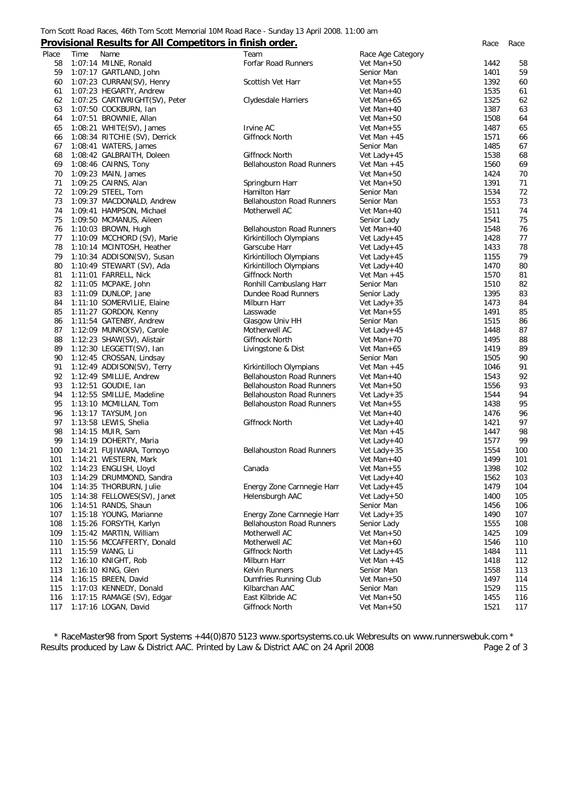### Tom Scott Road Races, 46th Tom Scott Memorial 10M Road Race - Sunday 13 April 2008. 11:00 am

### **Provisional Results for All Competitors in finish order.** *Race Race*

| Place      | Time | Name                                              | Team                             | Race Age Category         |              |            |
|------------|------|---------------------------------------------------|----------------------------------|---------------------------|--------------|------------|
| 58         |      | 1:07:14 MILNE, Ronald                             | Forfar Road Runners              | Vet Man+50                | 1442         | 58         |
| 59         |      | 1:07:17 GARTLAND, John                            |                                  | Senior Man                | 1401         | 59         |
| 60         |      | 1:07:23 CURRAN(SV), Henry                         | Scottish Vet Harr                | Vet Man $+55$             | 1392         | 60         |
| 61         |      | 1:07:23 HEGARTY, Andrew                           |                                  | Vet Man+40                | 1535         | 61         |
| 62         |      | 1:07:25 CARTWRIGHT(SV), Peter                     | Clydesdale Harriers              | Vet Man+65                | 1325         | 62         |
| 63         |      | 1:07:50 COCKBURN, Ian                             |                                  | Vet Man+40                | 1387         | 63         |
| 64         |      | 1:07:51 BROWNIE, Allan                            |                                  | Vet Man+50                | 1508         | 64         |
| 65         |      | $1:08:21$ WHITE(SV), James                        | <b>Irvine AC</b>                 | Vet Man+55                | 1487         | 65         |
| 66         |      | 1:08:34 RITCHIE (SV), Derrick                     | Giffnock North                   | Vet Man $+45$             | 1571         | 66         |
| 67         |      | 1:08:41 WATERS, James                             |                                  | Senior Man                | 1485         | 67         |
| 68         |      | 1:08:42 GALBRAITH, Doleen                         | Giffnock North                   | Vet Lady+45               | 1538         | 68         |
| 69         |      | 1:08:46 CAIRNS, Tony                              | <b>Bellahouston Road Runners</b> | Vet Man $+45$             | 1560         | 69         |
| 70         |      | 1:09:23 MAIN, James                               |                                  | Vet Man+50                | 1424         | 70         |
| 71         |      | 1:09:25 CAIRNS, Alan                              | Springburn Harr                  | Vet Man+50                | 1391         | 71         |
| 72         |      | 1:09:29 STEEL, Tom                                | Hamilton Harr                    | Senior Man                | 1534         | 72         |
| 73         |      | 1:09:37 MACDONALD, Andrew                         | <b>Bellahouston Road Runners</b> | Senior Man                | 1553         | 73         |
| 74         |      | 1:09:41 HAMPSON, Michael                          | Motherwell AC                    | Vet Man+40                | 1511         | 74         |
| 75         |      | 1:09:50 MCMANUS, Aileen                           |                                  | Senior Lady               | 1541         | 75         |
| 76         |      | 1:10:03 BROWN, Hugh                               | <b>Bellahouston Road Runners</b> | Vet Man+40                | 1548         | 76         |
| 77         |      | 1:10:09 MCCHORD (SV), Marie                       | Kirkintilloch Olympians          | Vet Lady+45               | 1428         | 77         |
| 78         |      | 1:10:14 MCINTOSH, Heather                         | Garscube Harr                    | Vet Lady+45               | 1433         | 78         |
| 79         |      | 1:10:34 ADDISON(SV), Susan                        | Kirkintilloch Olympians          | Vet Lady+45               | 1155         | 79         |
| 80         |      | 1:10:49 STEWART (SV), Ada                         | Kirkintilloch Olympians          | Vet Lady + $40$           | 1470         | 80         |
| 81         |      | 1:11:01 FARRELL, Nick                             | Giffnock North                   | Vet Man $+45$             | 1570         | 81         |
| 82         |      | 1:11:05 MCPAKE, John                              | Ronhill Cambuslang Harr          | Senior Man                | 1510         | 82         |
| 83         |      | 1:11:09 DUNLOP, Jane                              | Dundee Road Runners              | Senior Lady               | 1395         | 83         |
| 84         |      | 1:11:10 SOMERVILIE, Elaine                        | Milburn Harr                     | Vet Lady+35               | 1473         | 84         |
| 85         |      | 1:11:27 GORDON, Kenny                             | Lasswade                         | Vet Man+55                | 1491         | 85         |
| 86         |      | 1:11:54 GATENBY, Andrew                           | Glasgow Univ HH                  | Senior Man                | 1515         | 86         |
| 87         |      | 1:12:09 MUNRO(SV), Carole                         | Motherwell AC                    | Vet Lady+45               | 1448         | 87         |
| 88         |      | 1:12:23 SHAW(SV), Alistair                        | Giffnock North                   | Vet Man+70                | 1495         | 88         |
| 89         |      | 1:12:30 LEGGETT(SV), Ian                          | Livingstone & Dist               | Vet Man+65                | 1419         | 89         |
| 90         |      | 1:12:45 CROSSAN, Lindsay                          |                                  | Senior Man                | 1505         | 90         |
| 91         |      | 1:12:49 ADDISON(SV), Terry                        | Kirkintilloch Olympians          | Vet Man $+45$             | 1046         | 91         |
| 92         |      | 1:12:49 SMILLIE, Andrew                           | <b>Bellahouston Road Runners</b> | Vet Man+40                | 1543         | 92         |
| 93         |      | 1:12:51 GOUDIE, Ian                               | <b>Bellahouston Road Runners</b> | Vet Man+50                | 1556         | 93         |
| 94         |      | 1:12:55 SMILLIE, Madeline                         | <b>Bellahouston Road Runners</b> | Vet Lady+35               | 1544         | 94         |
| 95         |      | 1:13:10 MCMILLAN, Tom                             | <b>Bellahouston Road Runners</b> | Vet Man+55                | 1438         | 95         |
| 96         |      | 1:13:17 TAYSUM, Jon                               |                                  | Vet Man+40                | 1476         | 96         |
| 97         |      | 1:13:58 LEWIS, Shelia                             | Giffnock North                   | Vet Lady + $40$           | 1421         | 97         |
| 98         |      | 1:14:15 MUIR, Sam                                 |                                  | Vet Man $+45$             | 1447         | 98<br>99   |
| 99         |      | 1:14:19 DOHERTY, Maria                            | <b>Bellahouston Road Runners</b> | Vet Lady+40               | 1577         |            |
| 100<br>101 |      | 1:14:21 FUJIWARA, Tomoyo<br>1:14:21 WESTERN, Mark |                                  | Vet Lady+35<br>Vet Man+40 | 1554<br>1499 | 100<br>101 |
| 102        |      | 1:14:23 ENGLISH, Lloyd                            | Canada                           | Vet Man+55                | 1398         | 102        |
| 103        |      | 1:14:29 DRUMMOND, Sandra                          |                                  | Vet Lady+40               | 1562         | 103        |
| 104        |      | 1:14:35 THORBURN, Julie                           | Energy Zone Carnnegie Harr       | Vet Lady+45               | 1479         | 104        |
| 105        |      | 1:14:38 FELLOWES(SV), Janet                       | Helensburgh AAC                  | Vet Lady $+50$            | 1400         | 105        |
| 106        |      | 1:14:51 RANDS, Shaun                              |                                  | Senior Man                | 1456         | 106        |
| 107        |      | 1:15:18 YOUNG, Marianne                           | Energy Zone Carnnegie Harr       | Vet Lady+35               | 1490         | 107        |
| 108        |      | 1:15:26 FORSYTH, Karlyn                           | <b>Bellahouston Road Runners</b> | Senior Lady               | 1555         | 108        |
| 109        |      | 1:15:42 MARTIN, William                           | Motherwell AC                    | Vet Man+50                | 1425         | 109        |
| 110        |      | 1:15:56 MCCAFFERTY, Donald                        | Motherwell AC                    | Vet Man+60                | 1546         | 110        |
| 111        |      | 1:15:59 WANG, Li                                  | Giffnock North                   | Vet Lady+45               | 1484         | 111        |
| 112        |      | 1:16:10 KNIGHT, Rob                               | Milburn Harr                     | Vet Man $+45$             | 1418         | 112        |
| 113        |      | 1:16:10 KING, Glen                                | Kelvin Runners                   | Senior Man                | 1558         | 113        |
| 114        |      | 1:16:15 BREEN, David                              | Dumfries Running Club            | Vet Man+50                | 1497         | 114        |
| 115        |      | 1:17:03 KENNEDY, Donald                           | Kilbarchan AAC                   | Senior Man                | 1529         | 115        |
| 116        |      | 1:17:15 RAMAGE (SV), Edgar                        | East Kilbride AC                 | Vet Man+50                | 1455         | 116        |
| 117        |      | 1:17:16 LOGAN, David                              | Giffnock North                   | Vet Man+50                | 1521         | 117        |
|            |      |                                                   |                                  |                           |              |            |

*\* RaceMaster98 from Sport Systems +44(0)870 5123 www.sportsystems.co.uk Webresults on www.runnerswebuk.com \** Results produced by Law & District AAC. Printed by Law & District AAC on 24 April 2008